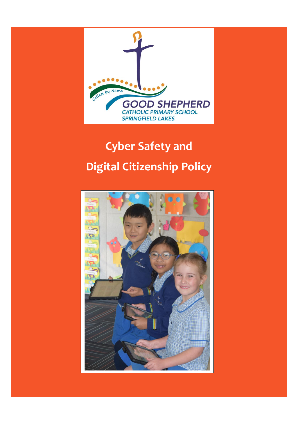

# **Cyber Safety and Digital Citizenship Policy**

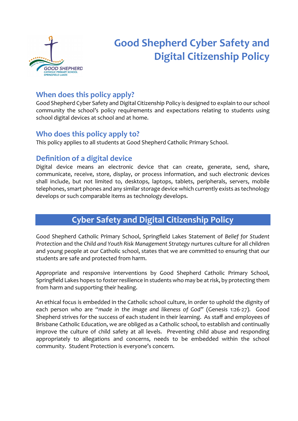

## **Good Shepherd Cyber Safety and Digital Citizenship Policy**

## **When does this policy apply?**

Good Shepherd Cyber Safety and Digital Citizenship Policy is designed to explain to our school community the school's policy requirements and expectations relating to students using school digital devices at school and at home.

## **Who does this policy apply to?**

This policy applies to all students at Good Shepherd Catholic Primary School.

## **Definition of a digital device**

Digital device means an electronic device that can create, generate, send, share, communicate, receive, store, display, or process information, and such electronic devices shall include, but not limited to, desktops, laptops, tablets, peripherals, servers, mobile telephones, smart phones and any similar storage device which currently exists as technology develops or such comparable items as technology develops.

## **Cyber Safety and Digital Citizenship Policy**

Good Shepherd Catholic Primary School, Springfield Lakes Statement of *Belief for Student Protection* and the *Child and Youth Risk Management Strategy* nurtures culture for all children and young people at our Catholic school, states that we are committed to ensuring that our students are safe and protected from harm.

Appropriate and responsive interventions by Good Shepherd Catholic Primary School, Springfield Lakes hopes to foster resilience in students who may be at risk, by protecting them from harm and supporting their healing.

An ethical focus is embedded in the Catholic school culture, in order to uphold the dignity of each person who are *"made in the image and likeness of God"* (Genesis 1:26-27). Good Shepherd strives for the success of each student in their learning. As staff and employees of Brisbane Catholic Education, we are obliged as a Catholic school, to establish and continually improve the culture of child safety at all levels. Preventing child abuse and responding appropriately to allegations and concerns, needs to be embedded within the school community. Student Protection is everyone's concern.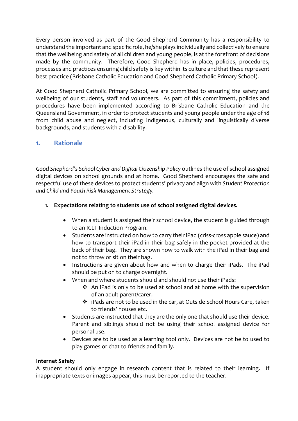Every person involved as part of the Good Shepherd Community has a responsibility to understand the important and specific role, he/she plays individually and collectively to ensure that the wellbeing and safety of all children and young people, is at the forefront of decisions made by the community. Therefore, Good Shepherd has in place, policies, procedures, processes and practices ensuring child safety is key within its culture and that these represent best practice (Brisbane Catholic Education and Good Shepherd Catholic Primary School).

At Good Shepherd Catholic Primary School, we are committed to ensuring the safety and wellbeing of our students, staff and volunteers. As part of this commitment, policies and procedures have been implemented according to Brisbane Catholic Education and the Queensland Government, in order to protect students and young people under the age of 18 from child abuse and neglect, including Indigenous, culturally and linguistically diverse backgrounds, and students with a disability.

#### **1. Rationale**

*Good Shepherd's School Cyber and Digital Citizenship Policy* outlines the use of school assigned digital devices on school grounds and at home. Good Shepherd encourages the safe and respectful use of these devices to protect students' privacy and align with *Student Protection and Child and Youth Risk Management Strategy.*

#### **1. Expectations relating to students use of school assigned digital devices.**

- When a student is assigned their school device, the student is guided through to an ICLT Induction Program.
- Students are instructed on how to carry their iPad (criss-cross apple sauce) and how to transport their iPad in their bag safely in the pocket provided at the back of their bag. They are shown how to walk with the iPad in their bag and not to throw or sit on their bag.
- Instructions are given about how and when to charge their iPads. The iPad should be put on to charge overnight.
- When and where students should and should not use their iPads:
	- ❖ An iPad is only to be used at school and at home with the supervision of an adult parent/carer.
	- ❖ iPads are not to be used in the car, at Outside School Hours Care, taken to friends' houses etc.
- Students are instructed that they are the only one that should use their device. Parent and siblings should not be using their school assigned device for personal use.
- Devices are to be used as a learning tool only. Devices are not be to used to play games or chat to friends and family.

#### **Internet Safety**

A student should only engage in research content that is related to their learning. If inappropriate texts or images appear, this must be reported to the teacher.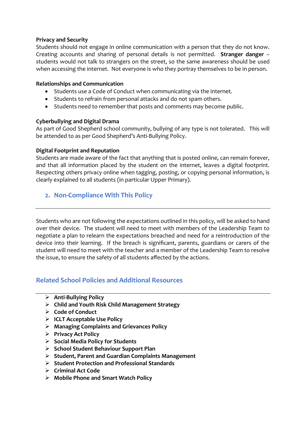#### **Privacy and Security**

Students should not engage in online communication with a person that they do not know. Creating accounts and sharing of personal details is not permitted. **Stranger danger** – students would not talk to strangers on the street, so the same awareness should be used when accessing the internet. Not everyone is who they portray themselves to be in person.

#### **Relationships and Communication**

- Students use a Code of Conduct when communicating via the internet.
- Students to refrain from personal attacks and do not spam others.
- Students need to remember that posts and comments may become public.

#### **Cyberbullying and Digital Drama**

As part of Good Shepherd school community, bullying of any type is not tolerated. This will be attended to as per Good Shepherd's Anti-Bullying Policy.

#### **Digital Footprint and Reputation**

Students are made aware of the fact that anything that is posted online, can remain forever, and that all information placed by the student on the internet, leaves a digital footprint. Respecting others privacy online when tagging, posting, or copying personal information, is clearly explained to all students (in particular Upper Primary).

#### **2. Non-Compliance With This Policy**

Students who are not following the expectations outlined in this policy, will be asked to hand over their device. The student will need to meet with members of the Leadership Team to negotiate a plan to relearn the expectations breached and need for a reintroduction of the device into their learning. If the breach is significant, parents, guardians or carers of the student will need to meet with the teacher and a member of the Leadership Team to resolve the issue, to ensure the safety of all students affected by the actions.

#### **Related School Policies and Additional Resources**

- ➢ **Anti-Bullying Policy**
- ➢ **Child and Youth Risk Child Management Strategy**
- ➢ **Code of Conduct**
- ➢ **ICLT Acceptable Use Policy**
- ➢ **Managing Complaints and Grievances Policy**
- ➢ **Privacy Act Policy**
- ➢ **Social Media Policy for Students**
- ➢ **School Student Behaviour Support Plan**
- ➢ **Student, Parent and Guardian Complaints Management**
- ➢ **Student Protection and Professional Standards**
- ➢ **Criminal Act Code**
- ➢ **Mobile Phone and Smart Watch Policy**